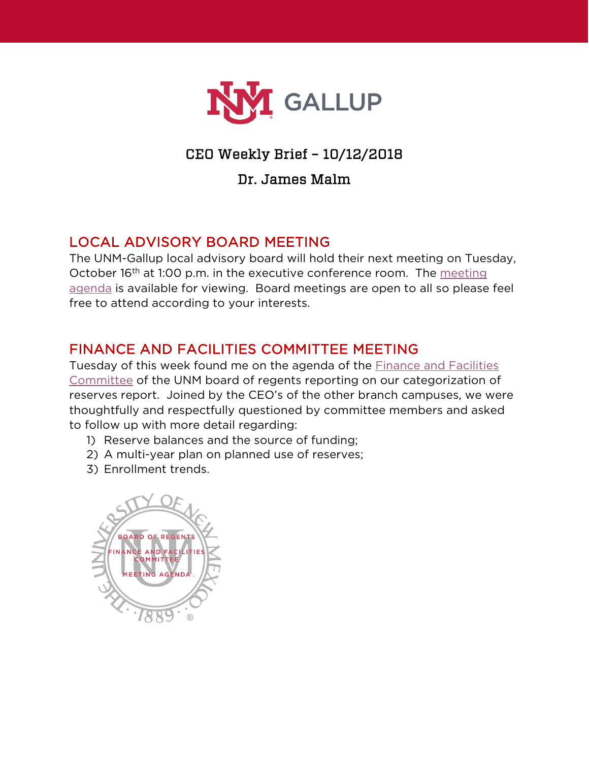

## CEO Weekly Brief – 10/12/2018

#### Dr. James Malm

## LOCAL ADVISORY BOARD MEETING

The UNM-Gallup local advisory board will hold their next meeting on Tuesday, October 16<sup>th</sup> at 1:00 p.m. in the executive conference room. The meeting [agenda](https://www.gallup.unm.edu/administration/localboard/) is available for viewing. Board meetings are open to all so please feel free to attend according to your interests.

### FINANCE AND FACILITIES COMMITTEE MEETING

Tuesday of this week found me on the agenda of the [Finance and Facilities](http://evpadmin.unm.edu/ff-meetings/e-books/e-books2018/october-9-2018-.pdf)  [Committee](http://evpadmin.unm.edu/ff-meetings/e-books/e-books2018/october-9-2018-.pdf) of the UNM board of regents reporting on our categorization of reserves report. Joined by the CEO's of the other branch campuses, we were thoughtfully and respectfully questioned by committee members and asked to follow up with more detail regarding:

- 1) Reserve balances and the source of funding;
- 2) A multi-year plan on planned use of reserves;
- 3) Enrollment trends.

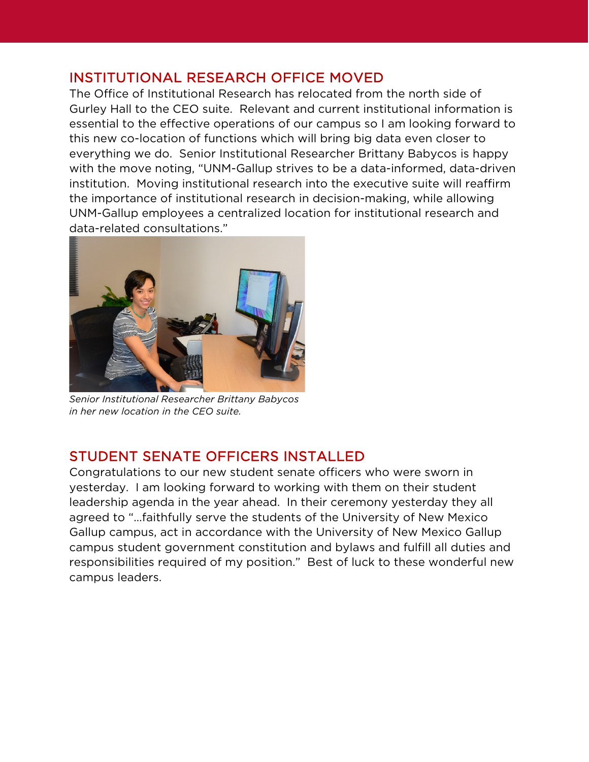#### INSTITUTIONAL RESEARCH OFFICE MOVED

The Office of Institutional Research has relocated from the north side of Gurley Hall to the CEO suite. Relevant and current institutional information is essential to the effective operations of our campus so I am looking forward to this new co-location of functions which will bring big data even closer to everything we do. Senior Institutional Researcher Brittany Babycos is happy with the move noting, "UNM-Gallup strives to be a data-informed, data-driven institution. Moving institutional research into the executive suite will reaffirm the importance of institutional research in decision-making, while allowing UNM-Gallup employees a centralized location for institutional research and data-related consultations."



*Senior Institutional Researcher Brittany Babycos in her new location in the CEO suite.*

## STUDENT SENATE OFFICERS INSTALLED

Congratulations to our new student senate officers who were sworn in yesterday. I am looking forward to working with them on their student leadership agenda in the year ahead. In their ceremony yesterday they all agreed to "…faithfully serve the students of the University of New Mexico Gallup campus, act in accordance with the University of New Mexico Gallup campus student government constitution and bylaws and fulfill all duties and responsibilities required of my position." Best of luck to these wonderful new campus leaders.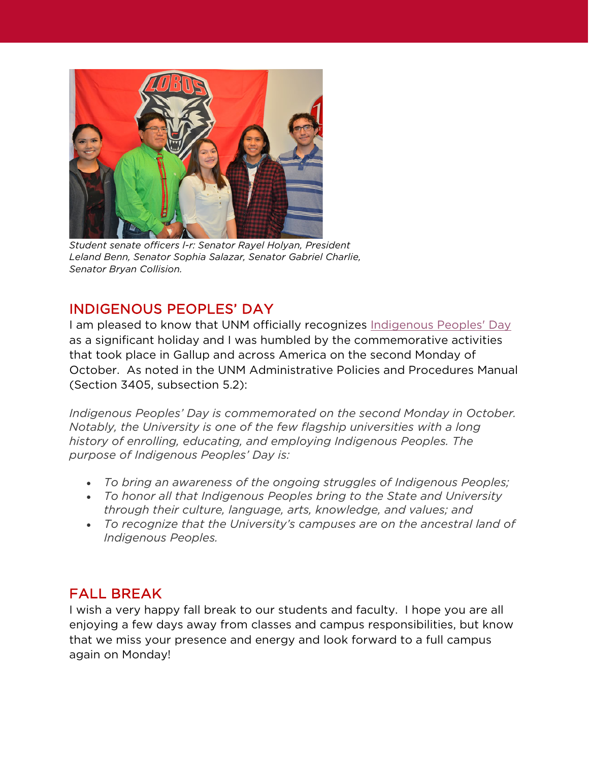

*Student senate officers l-r: Senator Rayel Holyan, President Leland Benn, Senator Sophia Salazar, Senator Gabriel Charlie, Senator Bryan Collision.*

# INDIGENOUS PEOPLES' DAY

I am pleased to know that UNM officially recognizes [Indigenous Peoples' Day](https://news.unm.edu/news/unm-celebrates-indigenous-peoples-day) as a significant holiday and I was humbled by the commemorative activities that took place in Gallup and across America on the second Monday of October. As noted in the UNM Administrative Policies and Procedures Manual (Section 3405, subsection 5.2):

*Indigenous Peoples' Day is commemorated on the second Monday in October. Notably, the University is one of the few flagship universities with a long history of enrolling, educating, and employing Indigenous Peoples. The purpose of Indigenous Peoples' Day is:*

- *To bring an awareness of the ongoing struggles of Indigenous Peoples;*
- *To honor all that Indigenous Peoples bring to the State and University through their culture, language, arts, knowledge, and values; and*
- *To recognize that the University's campuses are on the ancestral land of Indigenous Peoples.*

## FALL BREAK

I wish a very happy fall break to our students and faculty. I hope you are all enjoying a few days away from classes and campus responsibilities, but know that we miss your presence and energy and look forward to a full campus again on Monday!